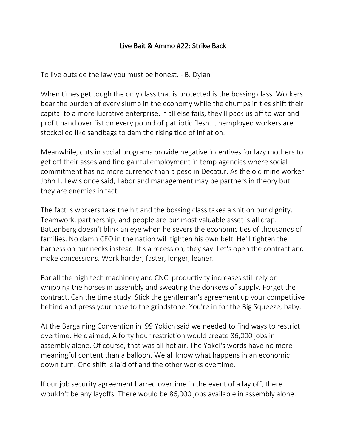## Live Bait & Ammo #22: Strike Back

To live outside the law you must be honest. - B. Dylan

When times get tough the only class that is protected is the bossing class. Workers bear the burden of every slump in the economy while the chumps in ties shift their capital to a more lucrative enterprise. If all else fails, they'll pack us off to war and profit hand over fist on every pound of patriotic flesh. Unemployed workers are stockpiled like sandbags to dam the rising tide of inflation.

Meanwhile, cuts in social programs provide negative incentives for lazy mothers to get off their asses and find gainful employment in temp agencies where social commitment has no more currency than a peso in Decatur. As the old mine worker John L. Lewis once said, Labor and management may be partners in theory but they are enemies in fact.

The fact is workers take the hit and the bossing class takes a shit on our dignity. Teamwork, partnership, and people are our most valuable asset is all crap. Battenberg doesn't blink an eye when he severs the economic ties of thousands of families. No damn CEO in the nation will tighten his own belt. He'll tighten the harness on our necks instead. It's a recession, they say. Let's open the contract and make concessions. Work harder, faster, longer, leaner.

For all the high tech machinery and CNC, productivity increases still rely on whipping the horses in assembly and sweating the donkeys of supply. Forget the contract. Can the time study. Stick the gentleman's agreement up your competitive behind and press your nose to the grindstone. You're in for the Big Squeeze, baby.

At the Bargaining Convention in '99 Yokich said we needed to find ways to restrict overtime. He claimed, A forty hour restriction would create 86,000 jobs in assembly alone. Of course, that was all hot air. The Yokel's words have no more meaningful content than a balloon. We all know what happens in an economic down turn. One shift is laid off and the other works overtime.

If our job security agreement barred overtime in the event of a lay off, there wouldn't be any layoffs. There would be 86,000 jobs available in assembly alone.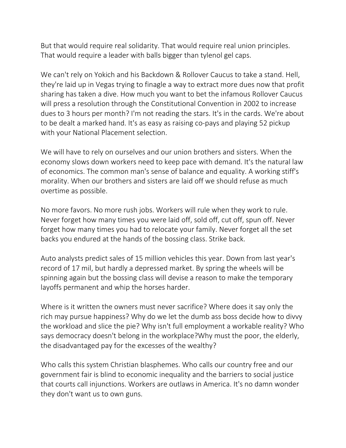But that would require real solidarity. That would require real union principles. That would require a leader with balls bigger than tylenol gel caps.

We can't rely on Yokich and his Backdown & Rollover Caucus to take a stand. Hell, they're laid up in Vegas trying to finagle a way to extract more dues now that profit sharing has taken a dive. How much you want to bet the infamous Rollover Caucus will press a resolution through the Constitutional Convention in 2002 to increase dues to 3 hours per month? I'm not reading the stars. It's in the cards. We're about to be dealt a marked hand. It's as easy as raising co-pays and playing 52 pickup with your National Placement selection.

We will have to rely on ourselves and our union brothers and sisters. When the economy slows down workers need to keep pace with demand. It's the natural law of economics. The common man's sense of balance and equality. A working stiff's morality. When our brothers and sisters are laid off we should refuse as much overtime as possible.

No more favors. No more rush jobs. Workers will rule when they work to rule. Never forget how many times you were laid off, sold off, cut off, spun off. Never forget how many times you had to relocate your family. Never forget all the set backs you endured at the hands of the bossing class. Strike back.

Auto analysts predict sales of 15 million vehicles this year. Down from last year's record of 17 mil, but hardly a depressed market. By spring the wheels will be spinning again but the bossing class will devise a reason to make the temporary layoffs permanent and whip the horses harder.

Where is it written the owners must never sacrifice? Where does it say only the rich may pursue happiness? Why do we let the dumb ass boss decide how to divvy the workload and slice the pie? Why isn't full employment a workable reality? Who says democracy doesn't belong in the workplace?Why must the poor, the elderly, the disadvantaged pay for the excesses of the wealthy?

Who calls this system Christian blasphemes. Who calls our country free and our government fair is blind to economic inequality and the barriers to social justice that courts call injunctions. Workers are outlaws in America. It's no damn wonder they don't want us to own guns.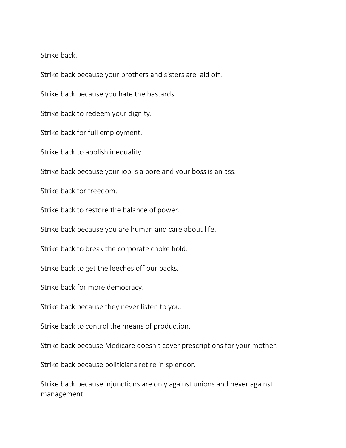Strike back.

Strike back because your brothers and sisters are laid off.

Strike back because you hate the bastards.

Strike back to redeem your dignity.

Strike back for full employment.

Strike back to abolish inequality.

Strike back because your job is a bore and your boss is an ass.

Strike back for freedom.

Strike back to restore the balance of power.

Strike back because you are human and care about life.

Strike back to break the corporate choke hold.

Strike back to get the leeches off our backs.

Strike back for more democracy.

Strike back because they never listen to you.

Strike back to control the means of production.

Strike back because Medicare doesn't cover prescriptions for your mother.

Strike back because politicians retire in splendor.

Strike back because injunctions are only against unions and never against management.